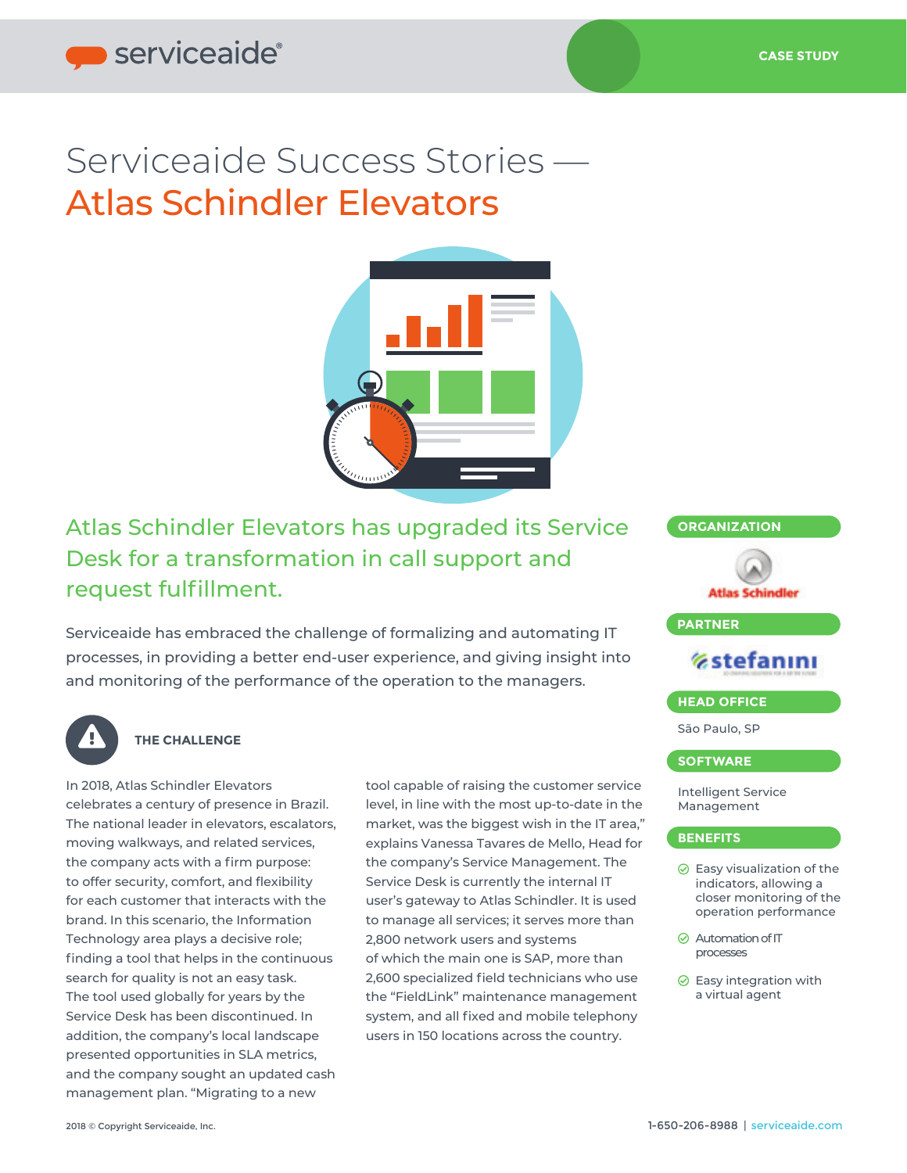# Serviceaide Success Stories — Atlas Schindler Elevators



# Atlas Schindler Elevators has upgraded its Service **CORGANIZATION** Desk for a transformation in call support and request fulfillment.

Serviceaide has embraced the challenge of formalizing and automating IT processes, in providing a better end-user experience, and giving insight into and monitoring of the performance of the operation to the managers.



### **THE CHALLENGE**

In 2018, Atlas Schindler Elevators celebrates a century of presence in Brazil. The national leader in elevators, escalators, moving walkways, and related services, the company acts with a firm purpose: to offer security, comfort, and flexibility for each customer that interacts with the brand. In this scenario, the Information Technology area plays a decisive role; finding a tool that helps in the continuous search for quality is not an easy task. The tool used globally for years by the Service Desk has been discontinued. In addition, the company's local landscape presented opportunities in SLA metrics, and the company sought an updated cash management plan. "Migrating to a new

tool capable of raising the customer service level, in line with the most up-to-date in the market, was the biggest wish in the IT area," explains Vanessa Tavares de Mello, Head for the company's Service Management. The Service Desk is currently the internal IT user's gateway to Atlas Schindler. It is used to manage all services; it serves more than 2,800 network users and systems of which the main one is SAP, more than 2,600 specialized field technicians who use the "FieldLink" maintenance management system, and all fixed and mobile telephony users in 150 locations across the country.

# **Atlas Schindler PARTNER Estefanini HEAD OFFICE** São Paulo, SP **SOFTWARE**

Intelligent Service Management

#### **BENEFITS**

- $\odot$  Easy visualization of the indicators, allowing a closer monitoring of the operation performance
- **⊘** Automation of IT processes
- $\odot$  Easy integration with a virtual agent